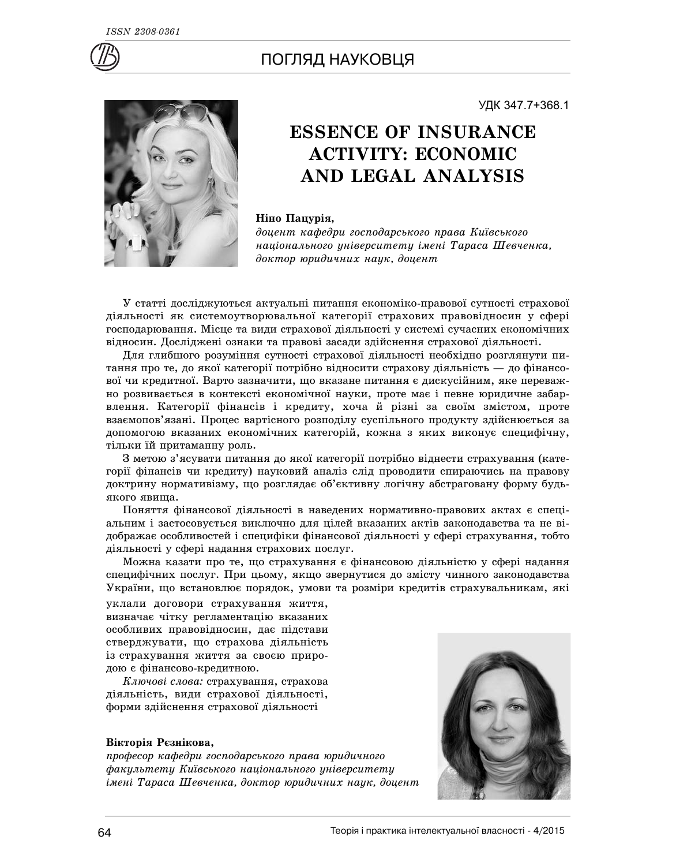

## ПОГЛЯД НАУКОВЦЯ



# **ESSENCE OF INSURANCE ACTIVITY: ECONOMIC**

УДК 347.7+368.1

# **AND LEGAL ANALYSIS**

### Ніно Пацурія,

доцент кафедри господарського права Київського *íàö³îíàëüíîãî óí³âåðñèòåòó ³ìåí³ Òàðàñà Øåâ÷åíêà,* доктор юридичних наук, доцент

У статті досліджуються актуальні питання економіко-правової сутності страхової діяльності як системоутворювальної категорії страхових правовідносин у сфері господарювання. Місце та види страхової діяльності у системі сучасних економічних відносин. Досліджені ознаки та правові засади здійснення страхової діяльності.

Для глибшого розуміння сутності страхової діяльності необхідно розглянути питання про те, до якої категорії потрібно відносити страхову діяльність — до фінансової чи кредитної. Варто зазначити, що вказане питання є дискусійним, яке переважно розвивається в контексті економічної науки, проте має і певне юридичне забарвлення. Категорії фінансів і кредиту, хоча й різні за своїм змістом, проте взаємопов'язані. Процес вартісного розподілу суспільного продукту здійснюється за допомогою вказаних економічних категорій, кожна з яких виконує специфічну, тільки їй притаманну роль.

З метою з'ясувати питання до якої категорії потрібно віднести страхування (категорії фінансів чи кредиту) науковий аналіз слід проводити спираючись на правову доктрину нормативізму, що розглядає об'єктивну логічну абстраговану форму будьякого явища.

Поняття фінансової діяльності в наведених нормативно-правових актах є спеціальним і застосовується виключно для цілей вказаних актів законодавства та не відображає особливостей і специфіки фінансової діяльності у сфері страхування, тобто діяльності у сфері надання страхових послуг.

Можна казати про те, що страхування є фінансовою діяльністю у сфері надання специфічних послуг. При цьому, якщо звернутися до змісту чинного законодавства України, що встановлює порядок, умови та розміри кредитів страхувальникам, які

уклали договори страхування життя, визначає чітку регламентацію вказаних особливих правовідносин, дає підстави стверджувати, що страхова діяльність із страхування життя за своєю природою є фінансово-кредитною.

*Ключові слова:* страхування, страхова діяльність, види страхової діяльності, форми здійснення страхової діяльності

#### Вікторія Рєзнікова,

лрофесор кафедри господарського права юридичного *факультету Київського національного університету імені Тараса Шевченка, доктор юридичних наук, доцент* 

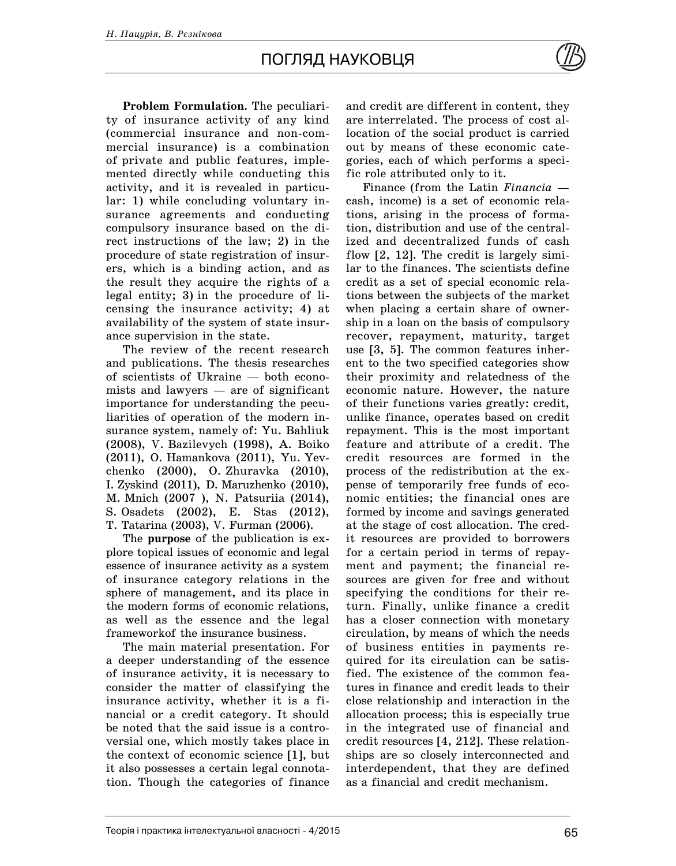## ПОГЛЯД НАУКОВЦЯ

**Problem Formulation.** The peculiarity of insurance activity of any kind (commercial insurance and non-commercial insurance) is a combination of private and public features, implemented directly while conducting this activity, and it is revealed in particular: 1) while concluding voluntary insurance agreements and conducting compulsory insurance based on the direct instructions of the law; 2) in the procedure of state registration of insurers, which is a binding action, and as the result they acquire the rights of a legal entity; 3) in the procedure of licensing the insurance activity; 4) at availability of the system of state insurance supervision in the state.

The review of the recent research and publications. The thesis researches of scientists of Ukraine — both economists and lawyers — are of significant importance for understanding the peculiarities of operation of the modern insurance system, namely of: Yu. Bahliuk (2008), V. Bazilevych (1998), A. Boiko (2011), O. Hamankova (2011), Yu. Yevchenko (2000), O. Zhuravka (2010), I. Zyskind (2011), D. Maruzhenko (2010), M. Mnich (2007 ), N. Patsuriia (2014), S. Osadets (2002), E. Stas (2012), T. Tatarina (2003), V. Furman (2006).

The **purpose** of the publication is explore topical issues of economic and legal essence of insurance activity as a system of insurance category relations in the sphere of management, and its place in the modern forms of economic relations, as well as the essence and the legal frameworkof the insurance business.

The main material presentation. For a deeper understanding of the essence of insurance activity, it is necessary to consider the matter of classifying the insurance activity, whether it is a financial or a credit category. It should be noted that the said issue is a controversial one, which mostly takes place in the context of economic science [1], but it also possesses a certain legal connotation. Though the categories of finance

and credit are different in content, they are interrelated. The process of cost allocation of the social product is carried out by means of these economic categories, each of which performs a specific role attributed only to it.

Finance (from the Latin *Financia* cash, income) is a set of economic relations, arising in the process of formation, distribution and use of the centralized and decentralized funds of cash flow [2, 12]. The credit is largely similar to the finances. The scientists define credit as a set of special economic relations between the subjects of the market when placing a certain share of ownership in a loan on the basis of compulsory recover, repayment, maturity, target use [3, 5]. The common features inherent to the two specified categories show their proximity and relatedness of the economic nature. However, the nature of their functions varies greatly: credit, unlike finance, operates based on credit repayment. This is the most important feature and attribute of a credit. The credit resources are formed in the process of the redistribution at the expense of temporarily free funds of economic entities; the financial ones are formed by income and savings generated at the stage of cost allocation. The credit resources are provided to borrowers for a certain period in terms of repayment and payment; the financial resources are given for free and without specifying the conditions for their return. Finally, unlike finance a credit has a closer connection with monetary circulation, by means of which the needs of business entities in payments required for its circulation can be satisfied. The existence of the common features in finance and credit leads to their close relationship and interaction in the allocation process; this is especially true in the integrated use of financial and credit resources [4, 212]. These relationships are so closely interconnected and interdependent, that they are defined as a financial and credit mechanism.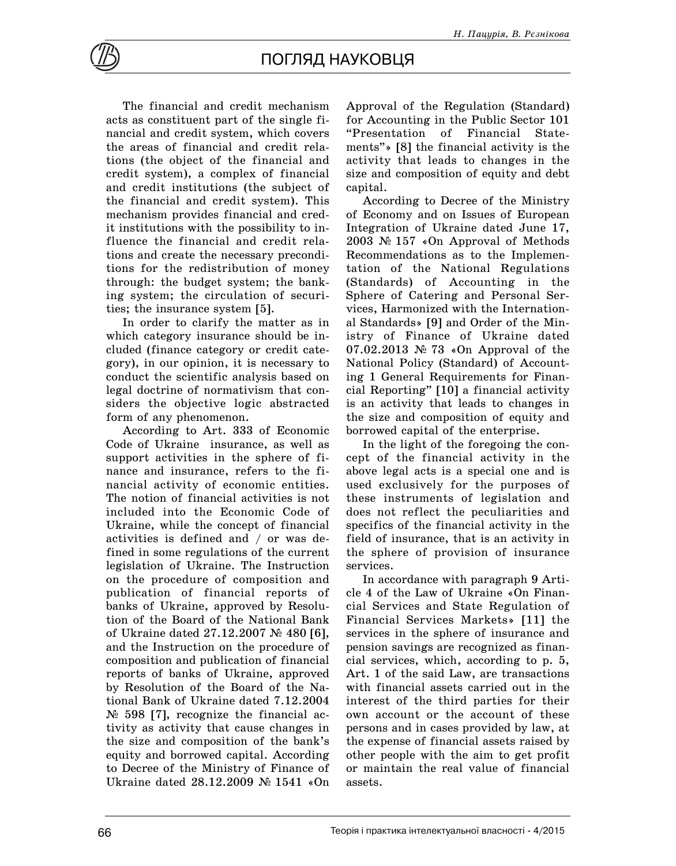

The financial and credit mechanism acts as constituent part of the single financial and credit system, which covers the areas of financial and credit relations (the object of the financial and credit system), a complex of financial and credit institutions (the subject of the financial and credit system). This mechanism provides financial and credit institutions with the possibility to influence the financial and credit relations and create the necessary preconditions for the redistribution of money through: the budget system; the banking system; the circulation of securities; the insurance system [5].

In order to clarify the matter as in which category insurance should be included (finance category or credit category), in our opinion, it is necessary to conduct the scientific analysis based on legal doctrine of normativism that considers the objective logic abstracted form of any phenomenon.

According to Art. 333 of Economic Code of Ukraine insurance, as well as support activities in the sphere of finance and insurance, refers to the financial activity of economic entities. The notion of financial activities is not included into the Economic Code of Ukraine, while the concept of financial activities is defined and / or was defined in some regulations of the current legislation of Ukraine. The Instruction on the procedure of composition and publication of financial reports of banks of Ukraine, approved by Resolution of the Board of the National Bank of Ukraine dated  $27.12.2007 \le 480$  [6], and the Instruction on the procedure of composition and publication of financial reports of banks of Ukraine, approved by Resolution of the Board of the National Bank of Ukraine dated 7.12.2004  $\mathcal{N}$  598 [7], recognize the financial activity as activity that cause changes in the size and composition of the bank's equity and borrowed capital. According to Decree of the Ministry of Finance of Ukraine dated  $28.12.2009$   $\mathcal{N}$  1541 «On

Approval of the Regulation (Standard) for Accounting in the Public Sector 101 "Presentation of Financial Statements"» [8] the financial activity is the activity that leads to changes in the size and composition of equity and debt capital.

According to Decree of the Ministry of Economy and on Issues of European Integration of Ukraine dated June 17, 2003  $\mathbb{N}$  157 «On Approval of Methods Recommendations as to the Implementation of the National Regulations (Standards) of Accounting in the Sphere of Catering and Personal Services, Harmonized with the International Standards» [9] and Order of the Ministry of Finance of Ukraine dated 07.02.2013  $\mathcal{N}$  73 «On Approval of the National Policy (Standard) of Accounting 1 General Requirements for Financial Reporting" [10] a financial activity is an activity that leads to changes in the size and composition of equity and borrowed capital of the enterprise.

In the light of the foregoing the concept of the financial activity in the above legal acts is a special one and is used exclusively for the purposes of these instruments of legislation and does not reflect the peculiarities and specifics of the financial activity in the field of insurance, that is an activity in the sphere of provision of insurance services.

In accordance with paragraph 9 Article 4 of the Law of Ukraine «On Financial Services and State Regulation of Financial Services Markets» [11] the services in the sphere of insurance and pension savings are recognized as financial services, which, according to p. 5, Art. 1 of the said Law, are transactions with financial assets carried out in the interest of the third parties for their own account or the account of these persons and in cases provided by law, at the expense of financial assets raised by other people with the aim to get profit or maintain the real value of financial assets.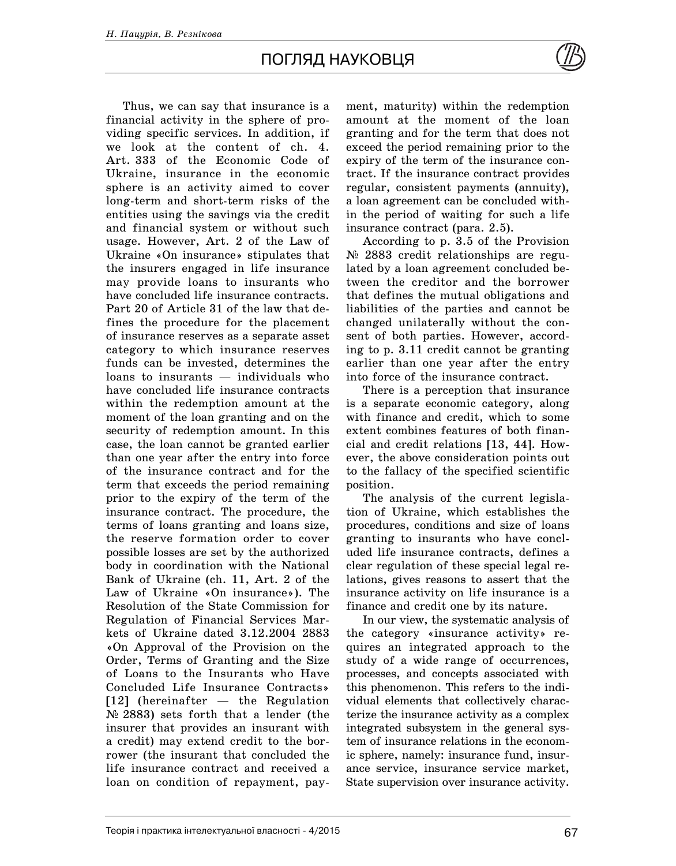## ПОГЛЯД НАУКОВЦЯ

Thus, we can say that insurance is a financial activity in the sphere of providing specific services. In addition, if we look at the content of ch. 4. Art. 333 of the Economic Code of Ukraine, insurance in the economic sphere is an activity aimed to cover long-term and short-term risks of the entities using the savings via the credit and financial system or without such usage. However, Art. 2 of the Law of Ukraine «On insurance» stipulates that the insurers engaged in life insurance may provide loans to insurants who have concluded life insurance contracts. Part 20 of Article 31 of the law that defines the procedure for the placement of insurance reserves as a separate asset category to which insurance reserves funds can be invested, determines the loans to insurants — individuals who have concluded life insurance contracts within the redemption amount at the moment of the loan granting and on the security of redemption amount. In this case, the loan cannot be granted earlier than one year after the entry into force of the insurance contract and for the term that exceeds the period remaining prior to the expiry of the term of the insurance contract. The procedure, the terms of loans granting and loans size, the reserve formation order to cover possible losses are set by the authorized body in coordination with the National Bank of Ukraine (ch. 11, Art. 2 of the Law of Ukraine «On insurance»). The Resolution of the State Commission for Regulation of Financial Services Markets of Ukraine dated 3.12.2004 2883 «On Approval of the Provision on the Order, Terms of Granting and the Size of Loans to the Insurants who Have Concluded Life Insurance Contracts» [12] (hereinafter — the Regulation  $\mathcal{N}$  2883) sets forth that a lender (the insurer that provides an insurant with a credit) may extend credit to the borrower (the insurant that concluded the life insurance contract and received a loan on condition of repayment, payment, maturity) within the redemption amount at the moment of the loan granting and for the term that does not exceed the period remaining prior to the expiry of the term of the insurance contract. If the insurance contract provides regular, consistent payments (annuity), a loan agreement can be concluded within the period of waiting for such a life insurance contract (para. 2.5).

According to p. 3.5 of the Provision  $\mathcal{N}$  2883 credit relationships are regulated by a loan agreement concluded between the creditor and the borrower that defines the mutual obligations and liabilities of the parties and cannot be changed unilaterally without the consent of both parties. However, according to p. 3.11 credit cannot be granting earlier than one year after the entry into force of the insurance contract.

There is a perception that insurance is a separate economic category, along with finance and credit, which to some extent combines features of both financial and credit relations [13, 44]. However, the above consideration points out to the fallacy of the specified scientific position.

The analysis of the current legislation of Ukraine, which establishes the procedures, conditions and size of loans granting to insurants who have concluded life insurance contracts, defines a clear regulation of these special legal relations, gives reasons to assert that the insurance activity on life insurance is a finance and credit one by its nature.

In our view, the systematic analysis of the category «insurance activity» requires an integrated approach to the study of a wide range of occurrences, processes, and concepts associated with this phenomenon. This refers to the individual elements that collectively characterize the insurance activity as a complex integrated subsystem in the general system of insurance relations in the economic sphere, namely: insurance fund, insurance service, insurance service market, State supervision over insurance activity.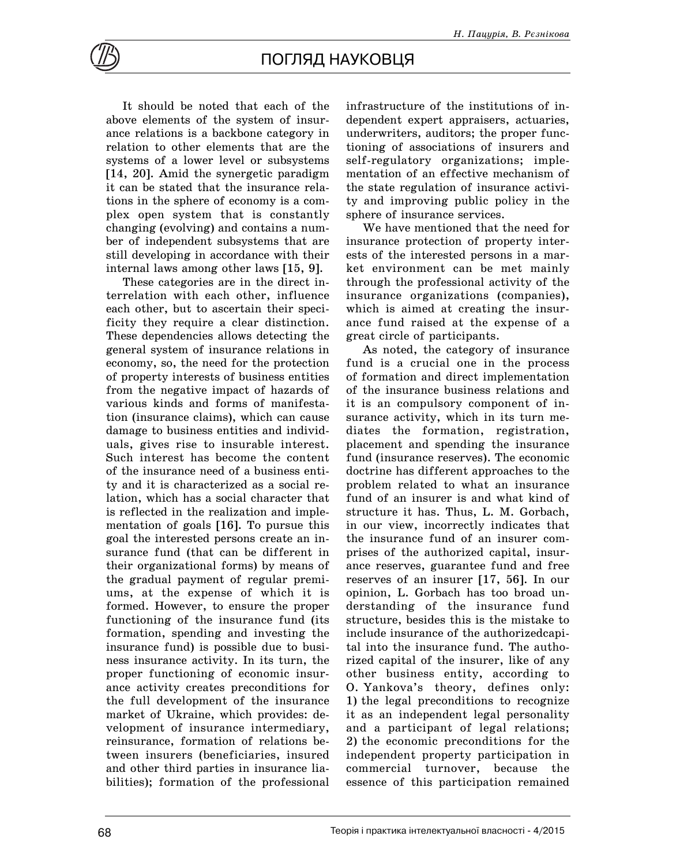

It should be noted that each of the above elements of the system of insurance relations is a backbone category in relation to other elements that are the systems of a lower level or subsystems [14, 20]. Amid the synergetic paradigm it can be stated that the insurance relations in the sphere of economy is a complex open system that is constantly changing (evolving) and contains a number of independent subsystems that are still developing in accordance with their internal laws among other laws [15, 9].

These categories are in the direct interrelation with each other, influence each other, but to ascertain their specificity they require a clear distinction. These dependencies allows detecting the general system of insurance relations in economy, so, the need for the protection of property interests of business entities from the negative impact of hazards of various kinds and forms of manifestation (insurance claims), which can cause damage to business entities and individuals, gives rise to insurable interest. Such interest has become the content of the insurance need of a business entity and it is characterized as a social relation, which has a social character that is reflected in the realization and implementation of goals [16]. To pursue this goal the interested persons create an insurance fund (that can be different in their organizational forms) by means of the gradual payment of regular premiums, at the expense of which it is formed. However, to ensure the proper functioning of the insurance fund (its formation, spending and investing the insurance fund) is possible due to business insurance activity. In its turn, the proper functioning of economic insurance activity creates preconditions for the full development of the insurance market of Ukraine, which provides: development of insurance intermediary, reinsurance, formation of relations between insurers (beneficiaries, insured and other third parties in insurance liabilities); formation of the professional

infrastructure of the institutions of independent expert appraisers, actuaries, underwriters, auditors; the proper functioning of associations of insurers and self-regulatory organizations; implementation of an effective mechanism of the state regulation of insurance activity and improving public policy in the sphere of insurance services.

We have mentioned that the need for insurance protection of property interests of the interested persons in a market environment can be met mainly through the professional activity of the insurance organizations (companies), which is aimed at creating the insurance fund raised at the expense of a great circle of participants.

As noted, the category of insurance fund is a crucial one in the process of formation and direct implementation of the insurance business relations and it is an compulsory component of insurance activity, which in its turn mediates the formation, registration, placement and spending the insurance fund (insurance reserves). The economic doctrine has different approaches to the problem related to what an insurance fund of an insurer is and what kind of structure it has. Thus, L. M. Gorbach, in our view, incorrectly indicates that the insurance fund of an insurer comprises of the authorized capital, insurance reserves, guarantee fund and free reserves of an insurer [17, 56]. In our opinion, L. Gorbach has too broad understanding of the insurance fund structure, besides this is the mistake to include insurance of the authorizedcapital into the insurance fund. The authorized capital of the insurer, like of any other business entity, according to O. Yankova's theory, defines only: 1) the legal preconditions to recognize it as an independent legal personality and a participant of legal relations; 2) the economic preconditions for the independent property participation in commercial turnover, because the essence of this participation remained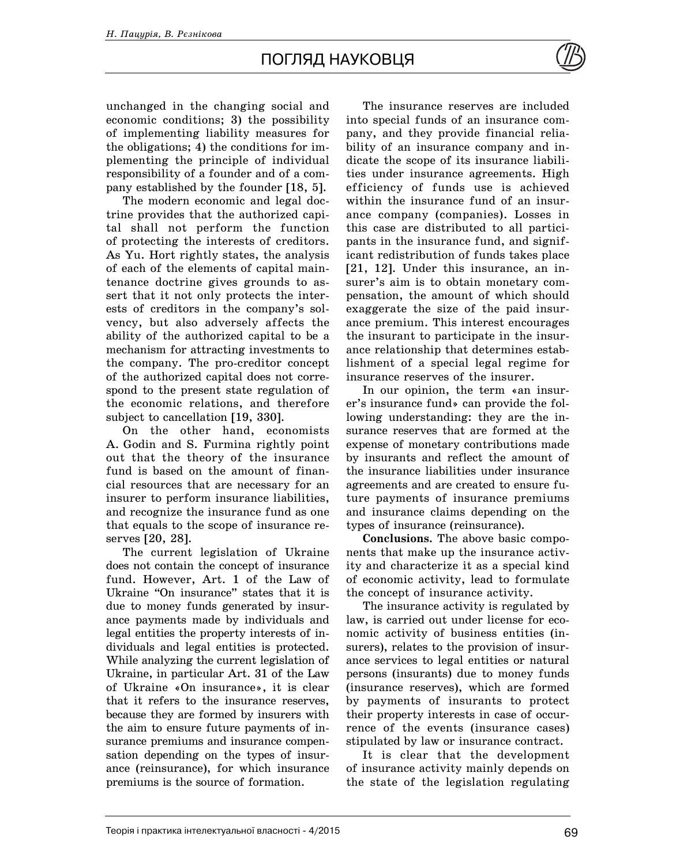unchanged in the changing social and economic conditions; 3) the possibility of implementing liability measures for the obligations; 4) the conditions for implementing the principle of individual responsibility of a founder and of a company established by the founder [18, 5].

The modern economic and legal doctrine provides that the authorized capital shall not perform the function of protecting the interests of creditors. As Yu. Hort rightly states, the analysis of each of the elements of capital maintenance doctrine gives grounds to assert that it not only protects the interests of creditors in the company's solvency, but also adversely affects the ability of the authorized capital to be a mechanism for attracting investments to the company. The pro-creditor concept of the authorized capital does not correspond to the present state regulation of the economic relations, and therefore subject to cancellation [19, 330].

On the other hand, economists A. Godin and S. Furmina rightly point out that the theory of the insurance fund is based on the amount of financial resources that are necessary for an insurer to perform insurance liabilities, and recognize the insurance fund as one that equals to the scope of insurance reserves [20, 28].

The current legislation of Ukraine does not contain the concept of insurance fund. However, Art. 1 of the Law of Ukraine "On insurance" states that it is due to money funds generated by insurance payments made by individuals and legal entities the property interests of individuals and legal entities is protected. While analyzing the current legislation of Ukraine, in particular Art. 31 of the Law of Ukraine «On insurance», it is clear that it refers to the insurance reserves, because they are formed by insurers with the aim to ensure future payments of insurance premiums and insurance compensation depending on the types of insurance (reinsurance), for which insurance premiums is the source of formation.

The insurance reserves are included into special funds of an insurance company, and they provide financial reliability of an insurance company and indicate the scope of its insurance liabilities under insurance agreements. High efficiency of funds use is achieved within the insurance fund of an insurance company (companies). Losses in this case are distributed to all participants in the insurance fund, and significant redistribution of funds takes place [21, 12]. Under this insurance, an insurer's aim is to obtain monetary compensation, the amount of which should exaggerate the size of the paid insurance premium. This interest encourages the insurant to participate in the insurance relationship that determines establishment of a special legal regime for insurance reserves of the insurer.

In our opinion, the term «an insurer's insurance fund» can provide the following understanding: they are the insurance reserves that are formed at the expense of monetary contributions made by insurants and reflect the amount of the insurance liabilities under insurance agreements and are created to ensure future payments of insurance premiums and insurance claims depending on the types of insurance (reinsurance).

**Conclusions.** The above basic components that make up the insurance activity and characterize it as a special kind of economic activity, lead to formulate the concept of insurance activity.

The insurance activity is regulated by law, is carried out under license for economic activity of business entities (insurers), relates to the provision of insurance services to legal entities or natural persons (insurants) due to money funds (insurance reserves), which are formed by payments of insurants to protect their property interests in case of occurrence of the events (insurance cases) stipulated by law or insurance contract.

It is clear that the development of insurance activity mainly depends on the state of the legislation regulating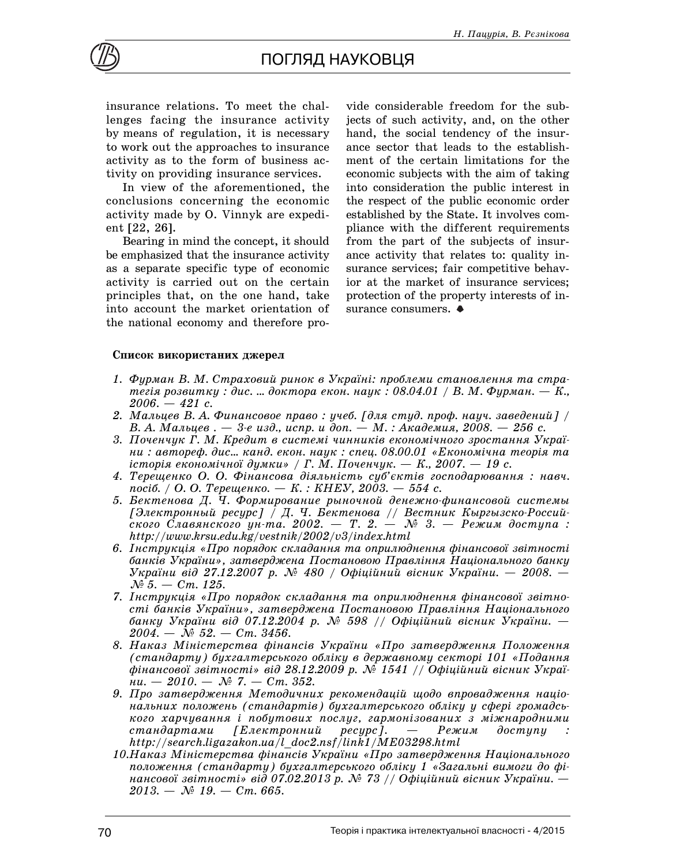

insurance relations. To meet the challenges facing the insurance activity by means of regulation, it is necessary to work out the approaches to insurance activity as to the form of business activity on providing insurance services.

In view of the aforementioned, the conclusions concerning the economic activity made by O. Vinnyk are expedient [22, 26].

Bearing in mind the concept, it should be emphasized that the insurance activity as a separate specific type of economic activity is carried out on the certain principles that, on the one hand, take into account the market orientation of the national economy and therefore pro-

vide considerable freedom for the subjects of such activity, and, on the other hand, the social tendency of the insurance sector that leads to the establishment of the certain limitations for the economic subjects with the aim of taking into consideration the public interest in the respect of the public economic order established by the State. It involves compliance with the different requirements from the part of the subjects of insurance activity that relates to: quality insurance services; fair competitive behavior at the market of insurance services; protection of the property interests of insurance consumers.  $\triangleleft$ 

### Список використаних джерел

- 1. Фурман В. М. Страховий ринок в Україні: проблеми становлення та стра*meгія розвитки : дис. ... доктора екон. нацк : 08.04.01 / В. М. Фирман. — К.*, *2006. — 421 ñ.*
- *2. Ìàëüöåâ Â. À. Ôèíàíñîâîå ïðàâî : ó÷åá. [äëÿ ñòóä. ïðîô. íàó÷. çàâåäåíèé] / В. А. Мальцев. — 3-е изд., испр. и доп. — М. : Академия, 2008. — 256 с.*
- 3. Поченчук Г. М. Кредит в системі чинників економічного зростання Украї*ни: автореф. дис... канд. екон. наук: спец. 08.00.01 «Економічна теорія та icmopiя економічної думки» / Г. М. Поченчук. — К., 2007. — 19 с.*
- *4. Òåðåùåíêî Î. Î. Ô³íàíñîâà ä³ÿëüí³ñòü ñóá'ºêò³â ãîñïîäàðþâàííÿ : íàâ÷. nociб. / О. О. Терещенко. — К. : КНЕУ, 2003. — 554 с.*
- 5. Бектенова Д. Ч. Формирование рыночной денежно-финансовой системы [Электронный ресурс] / Д. Ч. Бектенова // Вестник Кыргызско-Россий- $\emph{c}$ кого Славянского ун-та. 2002. — Т. 2. — № 3. — Режим доступа : *http://www.krsu.edu.kg/vestnik/2002/v3/index.html*
- 6. Інструкція «Про порядок складання та оприлюднення фінансової звітності банків України», затверджена Постановою Правління Національного банку *України від 27.12.2007 р. № 480 / Офіційний вісник України.* — 2008. —  $N_{\rm P}$  5.  $-$  Cm. 125.
- 7. Інструкція «Про порядок складання та оприлюднення фінансової звітно*ñò³ áàíê³â Óêðà¿íè», çàòâåðäæåíà Ïîñòàíîâîþ Ïðàâë³ííÿ Íàö³îíàëüíîãî* банку України від 07.12.2004 р. № 598 // Офіційний вісник України. - $2004. - N_2 52. - Cm. 3456.$
- 8. Наказ Міністерства фінансів України «Про затвердження Положення (стандарту) бухгалтерського обліку в державному секторі 101 «Подання фінансової звітності» від 28.12.2009 р. № 1541 // Офіційний вісник Украї $hu. -2010. -\mathcal{N}$ <sup>2</sup>. - Cm. 352.
- 9. Про затвердження Методичних рекомендацій щодо впровадження націо*íàëüíèõ ïîëîæåíü (ñòàíäàðò³â) áóõãàëòåðñüêîãî îáë³êó ó ñôåð³ ãðîìàäñüкого харчування і побутових послуг, гармонізованих з міжнародними cmaндартами [Електронний ресурс]. — Режим доступу http://search.ligazakon.ua/l\_doc2.nsf/link1/ME03298.html*
- 10.Наказ Міністерства фінансів України «Про затвердження Національного положення (стандарту) бухгалтерського обліку 1 «Загальні вимоги до фі*нансової звітності» від 07.02.2013 р. № 73 // Офіційний вісник України.* —  $2013. - N_2$  19. - Cm, 665.